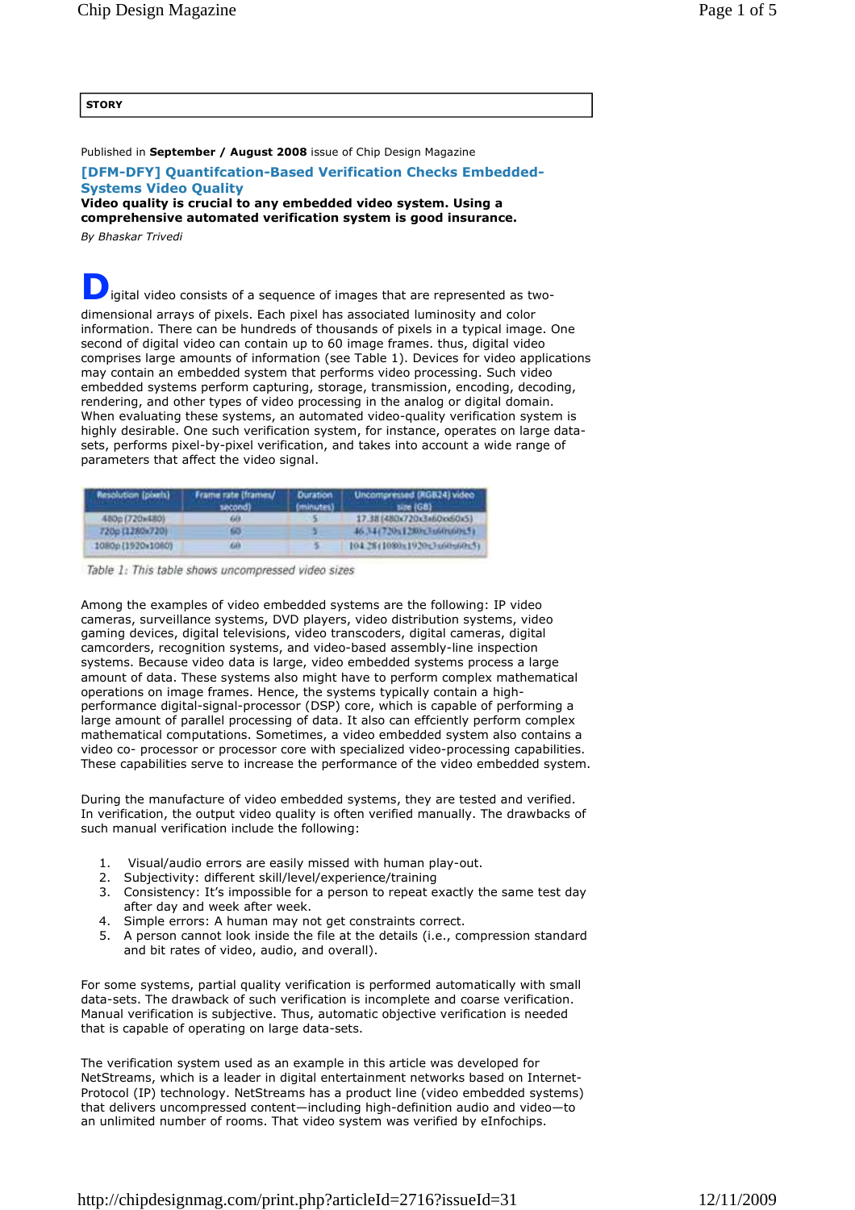## **STORY**

Published in **September / August 2008** issue of Chip Design Magazine

## **[DFM-DFY] Quantifcation-Based Verification Checks Embedded-Systems Video Quality**

**Video quality is crucial to any embedded video system. Using a comprehensive automated verification system is good insurance.**

*By Bhaskar Trivedi* 

**D** igital video consists of a sequence of images that are represented as twodimensional arrays of pixels. Each pixel has associated luminosity and color information. There can be hundreds of thousands of pixels in a typical image. One second of digital video can contain up to 60 image frames. thus, digital video comprises large amounts of information (see Table 1). Devices for video applications may contain an embedded system that performs video processing. Such video embedded systems perform capturing, storage, transmission, encoding, decoding, rendering, and other types of video processing in the analog or digital domain. When evaluating these systems, an automated video-quality verification system is highly desirable. One such verification system, for instance, operates on large datasets, performs pixel-by-pixel verification, and takes into account a wide range of parameters that affect the video signal.

| Resolution (points) | Frame rate (frames/<br>second). | <b>Duration</b><br>fminutes) | Uncompressed (RGB24) video<br>tire (68) |
|---------------------|---------------------------------|------------------------------|-----------------------------------------|
| 480c (720x480)      | GH B.                           |                              | 17.38 (480x720x3a60xx60x5)              |
| 720p (1280x720)     |                                 |                              | 46.34(720)(1280);3460(n00);51           |
| 1080p{1920x1080}    | 633                             |                              | 104.28 (1080x1920x3x60x5)               |

Table 1: This table shows uncompressed video sizes

Among the examples of video embedded systems are the following: IP video cameras, surveillance systems, DVD players, video distribution systems, video gaming devices, digital televisions, video transcoders, digital cameras, digital camcorders, recognition systems, and video-based assembly-line inspection systems. Because video data is large, video embedded systems process a large amount of data. These systems also might have to perform complex mathematical operations on image frames. Hence, the systems typically contain a highperformance digital-signal-processor (DSP) core, which is capable of performing a large amount of parallel processing of data. It also can effciently perform complex mathematical computations. Sometimes, a video embedded system also contains a video co- processor or processor core with specialized video-processing capabilities. These capabilities serve to increase the performance of the video embedded system.

During the manufacture of video embedded systems, they are tested and verified. In verification, the output video quality is often verified manually. The drawbacks of such manual verification include the following:

- 1. Visual/audio errors are easily missed with human play-out.
- 2. Subjectivity: different skill/level/experience/training
- 3. Consistency: It's impossible for a person to repeat exactly the same test day after day and week after week.
- 4. Simple errors: A human may not get constraints correct.
- 5. A person cannot look inside the file at the details (i.e., compression standard and bit rates of video, audio, and overall).

For some systems, partial quality verification is performed automatically with small data-sets. The drawback of such verification is incomplete and coarse verification. Manual verification is subjective. Thus, automatic objective verification is needed that is capable of operating on large data-sets.

The verification system used as an example in this article was developed for NetStreams, which is a leader in digital entertainment networks based on Internet-Protocol (IP) technology. NetStreams has a product line (video embedded systems) that delivers uncompressed content—including high-definition audio and video—to an unlimited number of rooms. That video system was verified by eInfochips.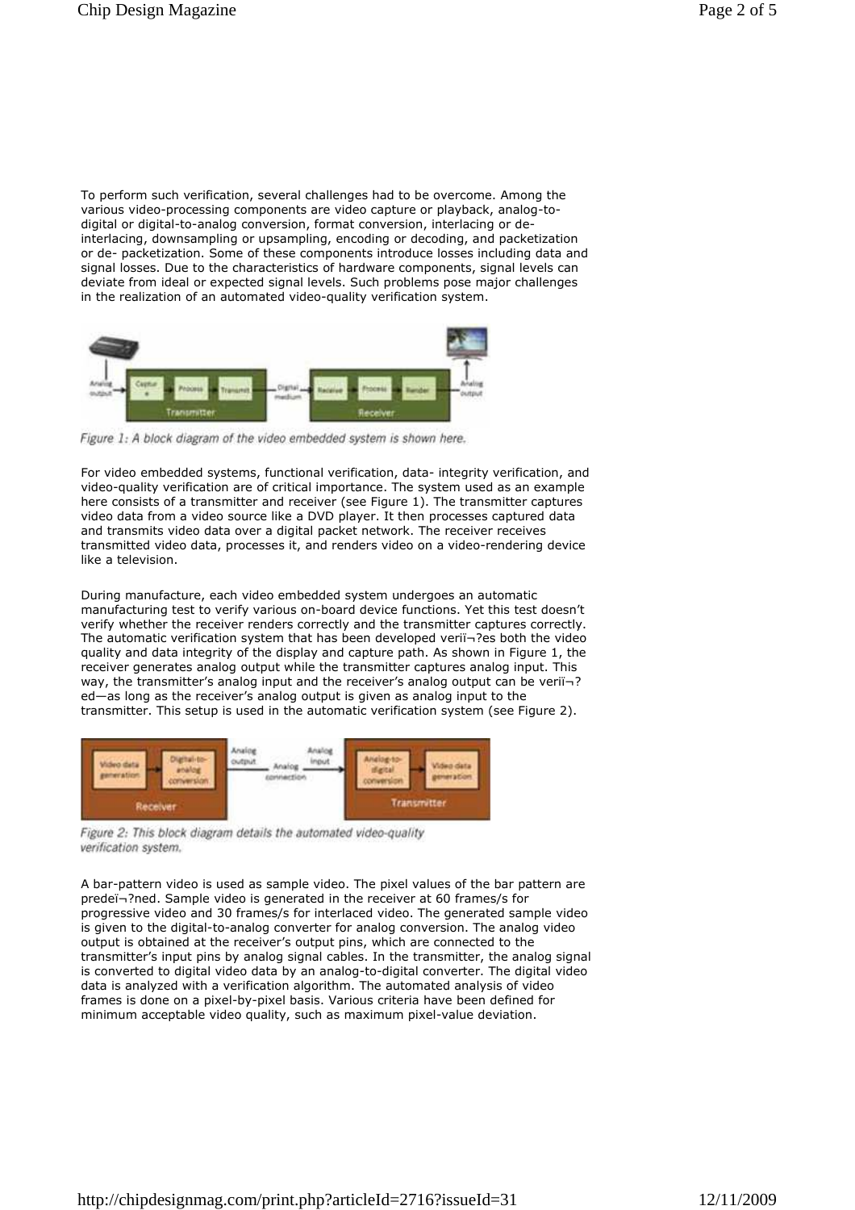To perform such verification, several challenges had to be overcome. Among the various video-processing components are video capture or playback, analog-todigital or digital-to-analog conversion, format conversion, interlacing or deinterlacing, downsampling or upsampling, encoding or decoding, and packetization or de- packetization. Some of these components introduce losses including data and signal losses. Due to the characteristics of hardware components, signal levels can deviate from ideal or expected signal levels. Such problems pose major challenges in the realization of an automated video-quality verification system.



Figure 1: A block diagram of the video embedded system is shown here.

For video embedded systems, functional verification, data- integrity verification, and video-quality verification are of critical importance. The system used as an example here consists of a transmitter and receiver (see Figure 1). The transmitter captures video data from a video source like a DVD player. It then processes captured data and transmits video data over a digital packet network. The receiver receives transmitted video data, processes it, and renders video on a video-rendering device like a television.

During manufacture, each video embedded system undergoes an automatic manufacturing test to verify various on-board device functions. Yet this test doesn't verify whether the receiver renders correctly and the transmitter captures correctly. The automatic verification system that has been developed verii-ries both the video quality and data integrity of the display and capture path. As shown in Figure 1, the receiver generates analog output while the transmitter captures analog input. This way, the transmitter's analog input and the receiver's analog output can be veri $\overline{\mathbf{a}}$ ? ed—as long as the receiver's analog output is given as analog input to the transmitter. This setup is used in the automatic verification system (see Figure 2).



Figure 2: This block diagram details the automated video-quality verification system.

A bar-pattern video is used as sample video. The pixel values of the bar pattern are predeï-?ned. Sample video is generated in the receiver at 60 frames/s for progressive video and 30 frames/s for interlaced video. The generated sample video is given to the digital-to-analog converter for analog conversion. The analog video output is obtained at the receiver's output pins, which are connected to the transmitter's input pins by analog signal cables. In the transmitter, the analog signal is converted to digital video data by an analog-to-digital converter. The digital video data is analyzed with a verification algorithm. The automated analysis of video frames is done on a pixel-by-pixel basis. Various criteria have been defined for minimum acceptable video quality, such as maximum pixel-value deviation.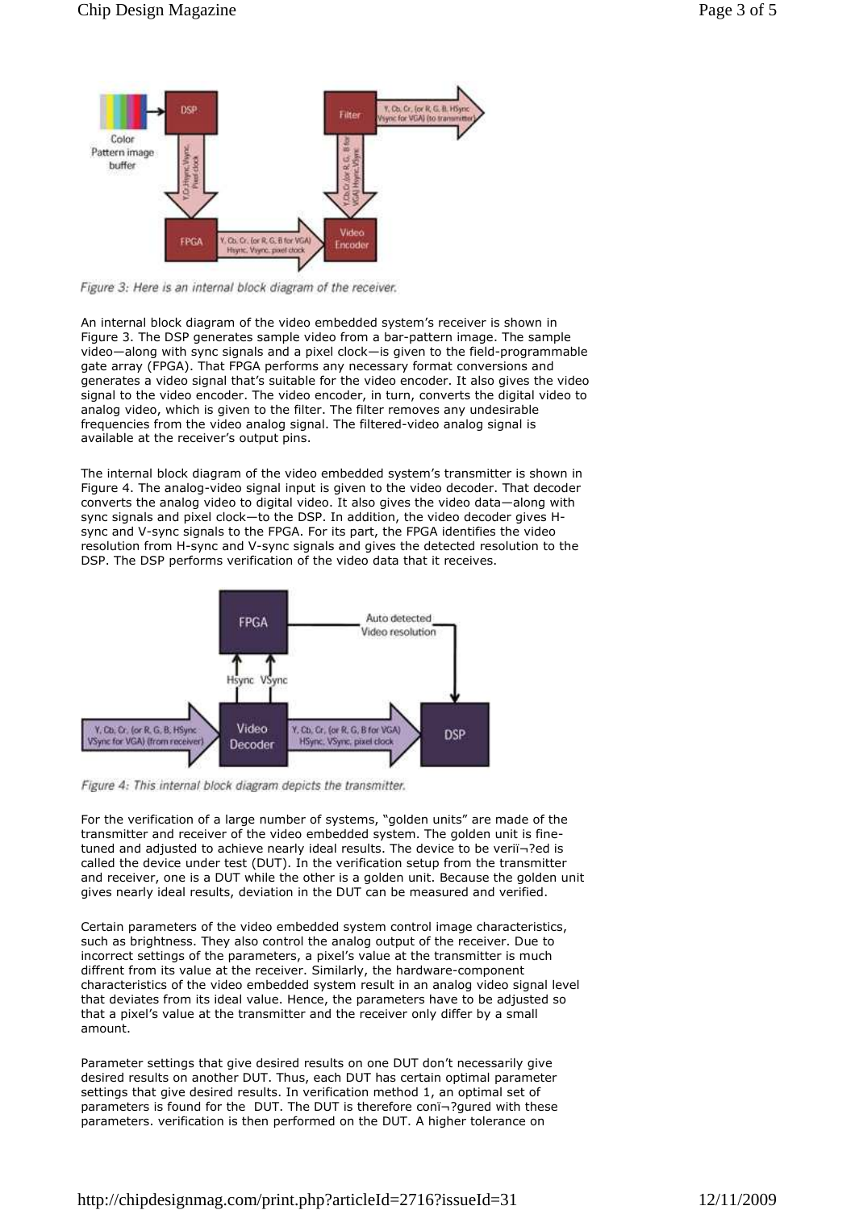

Figure 3: Here is an internal block diagram of the receiver.

An internal block diagram of the video embedded system's receiver is shown in Figure 3. The DSP generates sample video from a bar-pattern image. The sample video—along with sync signals and a pixel clock—is given to the field-programmable gate array (FPGA). That FPGA performs any necessary format conversions and generates a video signal that's suitable for the video encoder. It also gives the video signal to the video encoder. The video encoder, in turn, converts the digital video to analog video, which is given to the filter. The filter removes any undesirable frequencies from the video analog signal. The filtered-video analog signal is available at the receiver's output pins.

The internal block diagram of the video embedded system's transmitter is shown in Figure 4. The analog-video signal input is given to the video decoder. That decoder converts the analog video to digital video. It also gives the video data—along with sync signals and pixel clock—to the DSP. In addition, the video decoder gives Hsync and V-sync signals to the FPGA. For its part, the FPGA identifies the video resolution from H-sync and V-sync signals and gives the detected resolution to the DSP. The DSP performs verification of the video data that it receives.



Figure 4: This internal block diagram depicts the transmitter.

For the verification of a large number of systems, "golden units" are made of the transmitter and receiver of the video embedded system. The golden unit is finetuned and adjusted to achieve nearly ideal results. The device to be veri $\bar{\phantom{a}}$ -?ed is called the device under test (DUT). In the verification setup from the transmitter and receiver, one is a DUT while the other is a golden unit. Because the golden unit gives nearly ideal results, deviation in the DUT can be measured and verified.

Certain parameters of the video embedded system control image characteristics, such as brightness. They also control the analog output of the receiver. Due to incorrect settings of the parameters, a pixel's value at the transmitter is much diffrent from its value at the receiver. Similarly, the hardware-component characteristics of the video embedded system result in an analog video signal level that deviates from its ideal value. Hence, the parameters have to be adjusted so that a pixel's value at the transmitter and the receiver only differ by a small amount.

Parameter settings that give desired results on one DUT don't necessarily give desired results on another DUT. Thus, each DUT has certain optimal parameter settings that give desired results. In verification method 1, an optimal set of parameters is found for the DUT. The DUT is therefore con-3gured with these parameters. verification is then performed on the DUT. A higher tolerance on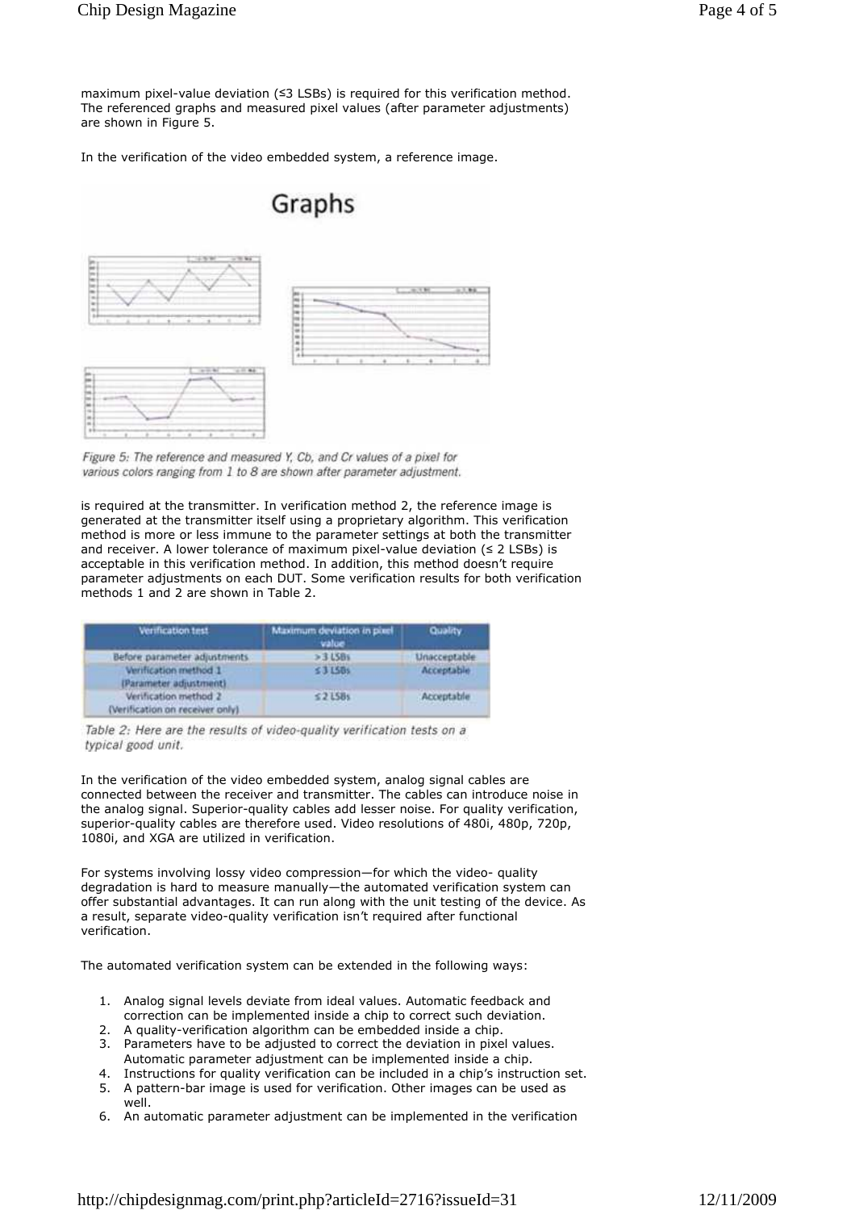maximum pixel-value deviation (≤3 LSBs) is required for this verification method. The referenced graphs and measured pixel values (after parameter adjustments) are shown in Figure 5.

In the verification of the video embedded system, a reference image.



Figure 5: The reference and measured Y, Cb, and Cr values of a pixel for various colors ranging from 1 to 8 are shown after parameter adjustment.

is required at the transmitter. In verification method 2, the reference image is generated at the transmitter itself using a proprietary algorithm. This verification method is more or less immune to the parameter settings at both the transmitter and receiver. A lower tolerance of maximum pixel-value deviation (≤ 2 LSBs) is acceptable in this verification method. In addition, this method doesn't require parameter adjustments on each DUT. Some verification results for both verification methods 1 and 2 are shown in Table 2.

| Verification test                                         | Maximum deviation in pixel<br>value       | Quality<br>Unacceptable.               |
|-----------------------------------------------------------|-------------------------------------------|----------------------------------------|
| Before parameter adjustments                              | $>3.158$ s                                |                                        |
| Verification method 1<br>(Parameter adjustment)           | 53150s                                    | Acceptable                             |
| Verification method 2<br>(Verification on receiver only). | $52$ LSBs<br><b>Contractor Contractor</b> | Acceptable<br><b>CONTRACTOR</b> IN THE |

Table 2: Here are the results of video-quality verification tests on a typical good unit.

In the verification of the video embedded system, analog signal cables are connected between the receiver and transmitter. The cables can introduce noise in the analog signal. Superior-quality cables add lesser noise. For quality verification, superior-quality cables are therefore used. Video resolutions of 480i, 480p, 720p, 1080i, and XGA are utilized in verification.

For systems involving lossy video compression—for which the video- quality degradation is hard to measure manually—the automated verification system can offer substantial advantages. It can run along with the unit testing of the device. As a result, separate video-quality verification isn't required after functional verification.

The automated verification system can be extended in the following ways:

- 1. Analog signal levels deviate from ideal values. Automatic feedback and correction can be implemented inside a chip to correct such deviation.
- 2. A quality-verification algorithm can be embedded inside a chip.
- 3. Parameters have to be adjusted to correct the deviation in pixel values. Automatic parameter adjustment can be implemented inside a chip.
- 4. Instructions for quality verification can be included in a chip's instruction set. 5. A pattern-bar image is used for verification. Other images can be used as
- well.
- 6. An automatic parameter adjustment can be implemented in the verification